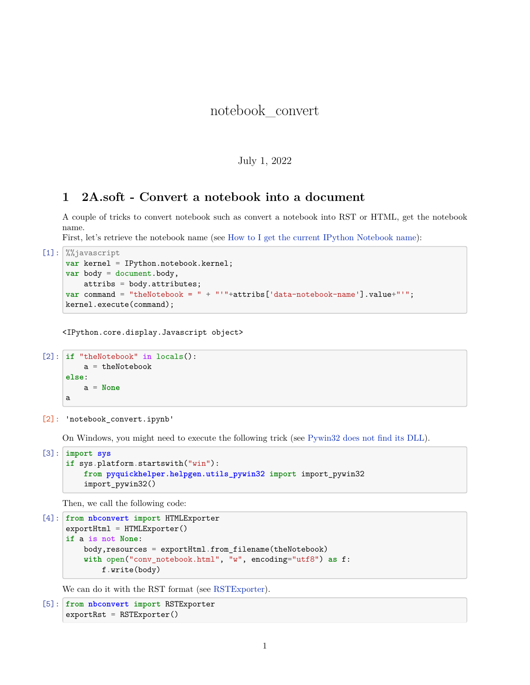## notebook\_convert

## July 1, 2022

## **1 2A.soft - Convert a notebook into a document**

A couple of tricks to convert notebook such as convert a notebook into RST or HTML, get the notebook name.

First, let's retrieve the notebook name (see [How to I get the current IPython Notebook name](http://stackoverflow.com/questions/12544056/how-to-i-get-the-current-ipython-notebook-name)):

```
[1]: %%javascript
  var kernel = IPython.notebook.kernel;
  var body = document.body,
      attribs = body.attributes;
  var command = "theNotebook = " + "'"+attribs['data-notebook-name'].value+"'";
  kernel.execute(command);
```
<IPython.core.display.Javascript object>

```
[2]: if "theNotebook" in locals():
      a = theNotebook
  else:
      a = None
  a
```
[2]: 'notebook\_convert.ipynb'

On Windows, you might need to execute the following trick (see [Pywin32 does not find its DLL](http://www.xavierdupre.fr/blog/2014-07-01_nojs.html)).

```
[3]: import sys
  if sys.platform.startswith("win"):
      from pyquickhelper.helpgen.utils_pywin32 import import_pywin32
      import_pywin32()
```
Then, we call the following code:

```
[4]: from nbconvert import HTMLExporter
  exportHtm1 = HTMLExporter()if a is not None:
      body,resources = exportHtml.from_filename(theNotebook)
      with open("conv_notebook.html", "w", encoding="utf8") as f:
          f.write(body)
```
We can do it with the RST format (see [RSTExporter\)](https://nbconvert.readthedocs.io/en/latest/api/exporters.html?highlight=rstexporter#nbconvert.exporters.RSTExporter).

```
[5]: from nbconvert import RSTExporter
  exportRst = RSTExporter()
```